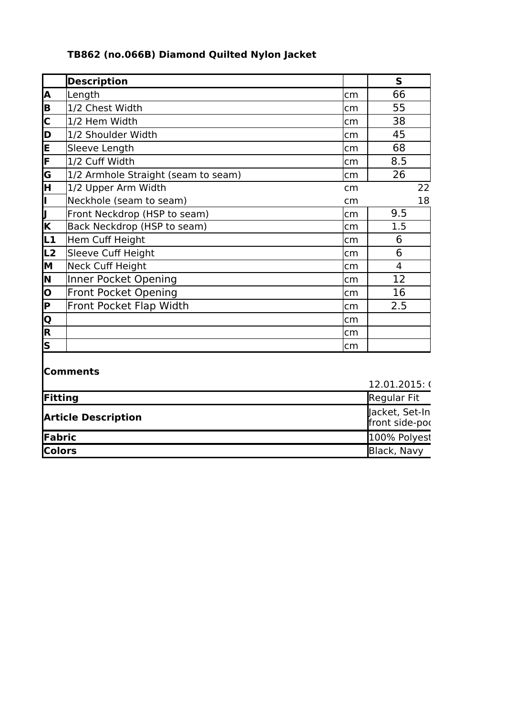## **TB862 (no.066B) Diamond Quilted Nylon Jacket**

|                         | <b>Description</b>                  |     | S   |    |
|-------------------------|-------------------------------------|-----|-----|----|
| A                       | Length                              | cm  | 66  |    |
| B                       | 1/2 Chest Width                     | cm  | 55  |    |
| $\overline{\mathsf{c}}$ | 1/2 Hem Width                       | cm  | 38  |    |
| Þ                       | 1/2 Shoulder Width                  | cm  | 45  |    |
| E                       | Sleeve Length                       | lcm | 68  |    |
| F                       | 1/2 Cuff Width                      | cm  | 8.5 |    |
| G                       | 1/2 Armhole Straight (seam to seam) | cm  | 26  |    |
| F                       | 1/2 Upper Arm Width                 | cm  |     | 22 |
| Ī                       | Neckhole (seam to seam)             | cm  |     | 18 |
| $\sqrt{\frac{1}{K}}$    | Front Neckdrop (HSP to seam)        | cm  | 9.5 |    |
|                         | Back Neckdrop (HSP to seam)         | cm  | 1.5 |    |
| և1                      | Hem Cuff Height                     | cm  | 6   |    |
| L <sub>2</sub>          | Sleeve Cuff Height                  | cm  | 6   |    |
| M                       | <b>Neck Cuff Height</b>             | cm  | 4   |    |
| N                       | Inner Pocket Opening                | cm  | 12  |    |
| o                       | <b>Front Pocket Opening</b>         | cm  | 16  |    |
| <b>P</b>                | Front Pocket Flap Width             | cm  | 2.5 |    |
| $\overline{\mathsf{o}}$ |                                     | cm  |     |    |
| $\overline{\mathsf{R}}$ |                                     | cm  |     |    |
| $\overline{\mathsf{s}}$ |                                     | cm  |     |    |
|                         | <b>Comments</b>                     |     |     |    |

## 12.01.2015:  $C$ **Fitting** Regular Fit New York 2012 19:30 Regular Fit New York 2012 19:30 Regular Fit **Article Description Fabric** 100% Polyest **Colors** Black, Navy Jacket, Set-In  $f$ front side-poc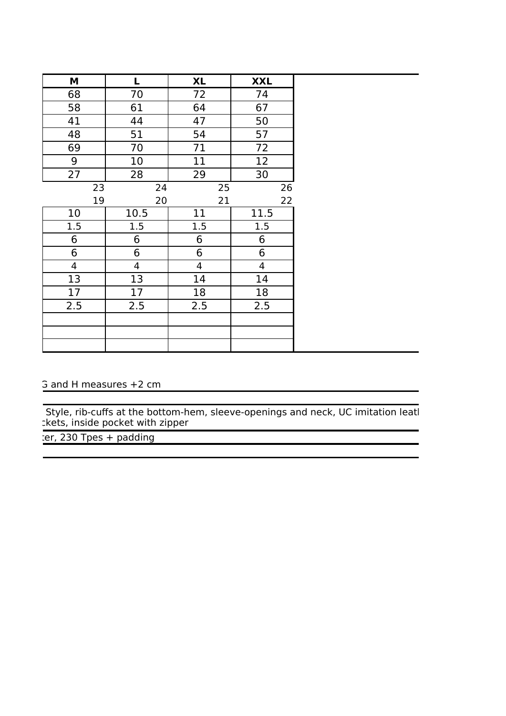| M              | L              | <b>XL</b>               | <b>XXL</b>     |
|----------------|----------------|-------------------------|----------------|
| 68             | 70             | 72                      | 74             |
| 58             | 61             | 64                      | 67             |
| 41             | 44             | 47                      | 50             |
| 48             | 51             | 54                      | 57             |
| 69             | 70             | 71                      | 72             |
| 9              | 10             | 11                      | 12             |
| 27             | 28             | 29                      | 30             |
| 23             | 24             | 25                      | 26             |
| 19             | 20             | 21                      | 22             |
| 10             | 10.5           | 11                      | 11.5           |
| 1.5            | 1.5            | 1.5                     | 1.5            |
| 6              | 6              | 6                       | 6              |
| 6              | 6              | 6                       | $6\phantom{1}$ |
| $\overline{4}$ | $\overline{4}$ | $\overline{\mathbf{4}}$ | $\overline{4}$ |
| 13             | 13             | 14                      | 14             |
| 17             | 17             | 18                      | 18             |
| 2.5            | 2.5            | 2.5                     | 2.5            |
|                |                |                         |                |
|                |                |                         |                |
|                |                |                         |                |

## 5 and H measures +2 cm

Style, rib-cuffs at the bottom-hem, sleeve-openings and neck, UC imitation leatl tkets, inside pocket with zipper

er, 230 Tpes + padding